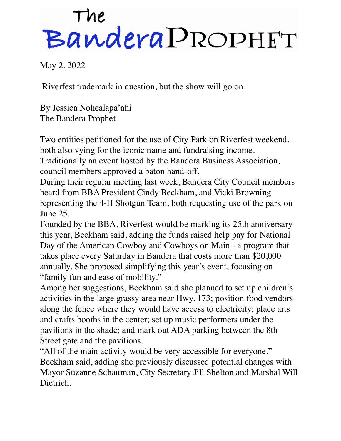## The<br>Bandera PROPHET

May 2, 2022

Riverfest trademark in question, but the show will go on

By Jessica Nohealapa'ahi The Bandera Prophet

Two entities petitioned for the use of City Park on Riverfest weekend, both also vying for the iconic name and fundraising income.

Traditionally an event hosted by the Bandera Business Association, council members approved a baton hand-off.

During their regular meeting last week, Bandera City Council members heard from BBA President Cindy Beckham, and Vicki Browning representing the 4-H Shotgun Team, both requesting use of the park on June 25.

Founded by the BBA, Riverfest would be marking its 25th anniversary this year, Beckham said, adding the funds raised help pay for National Day of the American Cowboy and Cowboys on Main - a program that takes place every Saturday in Bandera that costs more than \$20,000 annually. She proposed simplifying this year's event, focusing on "family fun and ease of mobility."

Among her suggestions, Beckham said she planned to set up children's activities in the large grassy area near Hwy. 173; position food vendors along the fence where they would have access to electricity; place arts and crafts booths in the center; set up music performers under the pavilions in the shade; and mark out ADA parking between the 8th Street gate and the pavilions.

"All of the main activity would be very accessible for everyone," Beckham said, adding she previously discussed potential changes with Mayor Suzanne Schauman, City Secretary Jill Shelton and Marshal Will Dietrich.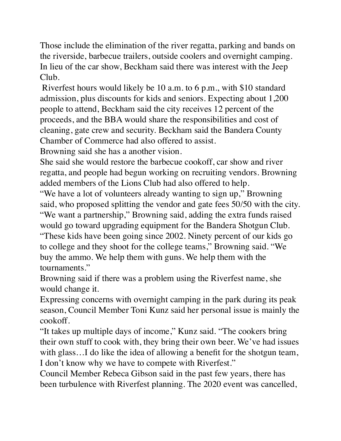Those include the elimination of the river regatta, parking and bands on the riverside, barbecue trailers, outside coolers and overnight camping. In lieu of the car show, Beckham said there was interest with the Jeep Club.

 Riverfest hours would likely be 10 a.m. to 6 p.m., with \$10 standard admission, plus discounts for kids and seniors. Expecting about 1,200 people to attend, Beckham said the city receives 12 percent of the proceeds, and the BBA would share the responsibilities and cost of cleaning, gate crew and security. Beckham said the Bandera County Chamber of Commerce had also offered to assist.

Browning said she has a another vision.

She said she would restore the barbecue cookoff, car show and river regatta, and people had begun working on recruiting vendors. Browning added members of the Lions Club had also offered to help.

"We have a lot of volunteers already wanting to sign up," Browning said, who proposed splitting the vendor and gate fees 50/50 with the city. "We want a partnership," Browning said, adding the extra funds raised would go toward upgrading equipment for the Bandera Shotgun Club. "These kids have been going since 2002. Ninety percent of our kids go to college and they shoot for the college teams," Browning said. "We buy the ammo. We help them with guns. We help them with the tournaments."

Browning said if there was a problem using the Riverfest name, she would change it.

Expressing concerns with overnight camping in the park during its peak season, Council Member Toni Kunz said her personal issue is mainly the cookoff.

"It takes up multiple days of income," Kunz said. "The cookers bring their own stuff to cook with, they bring their own beer. We've had issues with glass...I do like the idea of allowing a benefit for the shotgun team, I don't know why we have to compete with Riverfest."

Council Member Rebeca Gibson said in the past few years, there has been turbulence with Riverfest planning. The 2020 event was cancelled,